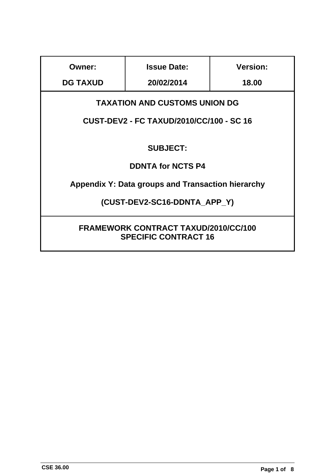| Owner:                                                                     | <b>Issue Date:</b> | <b>Version:</b> |
|----------------------------------------------------------------------------|--------------------|-----------------|
| <b>DG TAXUD</b>                                                            | 20/02/2014         | 18.00           |
| <b>TAXATION AND CUSTOMS UNION DG</b>                                       |                    |                 |
| <b>CUST-DEV2 - FC TAXUD/2010/CC/100 - SC 16</b>                            |                    |                 |
| <b>SUBJECT:</b>                                                            |                    |                 |
| <b>DDNTA for NCTS P4</b>                                                   |                    |                 |
| Appendix Y: Data groups and Transaction hierarchy                          |                    |                 |
| (CUST-DEV2-SC16-DDNTA APP Y)                                               |                    |                 |
| <b>FRAMEWORK CONTRACT TAXUD/2010/CC/100</b><br><b>SPECIFIC CONTRACT 16</b> |                    |                 |

ı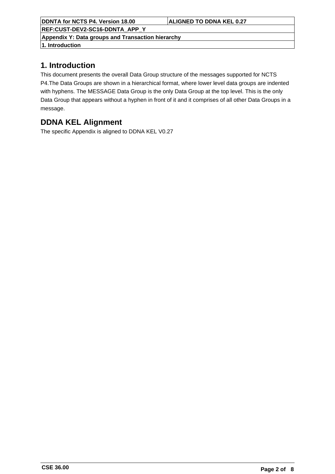**REF:CUST-DEV2-SC16-DDNTA\_APP\_Y**

**Appendix Y: Data groups and Transaction hierarchy**

**1. Introduction**

## **1. Introduction**

This document presents the overall Data Group structure of the messages supported for NCTS P4.The Data Groups are shown in a hierarchical format, where lower level data groups are indented with hyphens. The MESSAGE Data Group is the only Data Group at the top level. This is the only Data Group that appears without a hyphen in front of it and it comprises of all other Data Groups in a message.

## **DDNA KEL Alignment**

The specific Appendix is aligned to DDNA KEL V0.27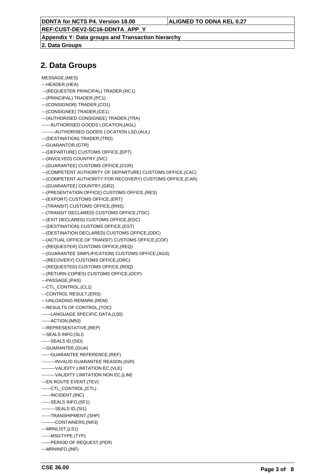**REF:CUST-DEV2-SC16-DDNTA\_APP\_Y**

**Appendix Y: Data groups and Transaction hierarchy**

**2. Data Groups**

## **2. Data Groups**

```
MESSAGE,(MES)
---HEADER,(HEA)
---(REQUESTER PRINCIPAL) TRADER,(RC1)
---(PRINCIPAL) TRADER,(PC1)
---(CONSIGNOR) TRADER,(CO1)
---(CONSIGNEE) TRADER,(CE1)
---(AUTHORISED CONSIGNEE) TRADER,(TRA)
------AUTHORISED GOODS LOCATION,(AGL)
---------AUTHORISED GOODS LOCATION LSD,(AUL)
---(DESTINATION) TRADER,(TRD)
---GUARANTOR,(GTR)
---(DEPARTURE) CUSTOMS OFFICE,(EPT)
---(INVOLVED) COUNTRY,(IVC)
---(GUARANTEE) CUSTOMS OFFICE,(CGR)
---(COMPETENT AUTHORITY OF DEPARTURE) CUSTOMS OFFICE,(CAC)
---(COMPETENT AUTHORITY FOR RECOVERY) CUSTOMS OFFICE,(CAR)
---(GUARANTEE) COUNTRY,(GR2)
---(PRESENTATION OFFICE) CUSTOMS OFFICE,(RES)
---(EXPORT) CUSTOMS OFFICE,(ERT)
---(TRANSIT) CUSTOMS OFFICE,(RNS)
---(TRANSIT DECLARED) CUSTOMS OFFICE,(TDC)
---(EXIT DECLARED) CUSTOMS OFFICE,(EDC)
---(DESTINATION) CUSTOMS OFFICE,(EST)
---(DESTINATION DECLARED) CUSTOMS OFFICE,(DDC)
---(ACTUAL OFFICE OF TRANSIT) CUSTOMS OFFICE,(COF)
---(REQUESTER) CUSTOMS OFFICE,(REQ)
---(GUARANTEE SIMPLIFICATION) CUSTOMS OFFICE,(AGS)
---(RECOVERY) CUSTOMS OFFICE,(ORC)
---(REQUESTED) CUSTOMS OFFICE,(RDQ)
---(RETURN COPIES) CUSTOMS OFFICE,(OCP)
---PASSAGE,(PAS)
---CTL_CONTROL,(CL1)
---CONTROL RESULT,(ERS)
---UNLOADING REMARK,(REM)
---RESULTS OF CONTROL,(TOC)
------LANGUAGE SPECIFIC DATA,(L50)
------ACTION,(M50)
---REPRESENTATIVE,(REP)
---SEALS INFO,(SLI)
------SEALS ID,(SID)
---GUARANTEE,(GUA)
------GUARANTEE REFERENCE,(REF)
---------INVALID GUARANTEE REASON,(IGR)
---------VALIDITY LIMITATION EC,(VLE)
---------VALIDITY LIMITATION NON EC,(LIM)
---EN ROUTE EVENT,(TEV)
------CTL_CONTROL.(CTL)
------INCIDENT,(INC)
------SEALS INFO,(SF1)
---------SEALS ID,(SI1)
------TRANSHIPMENT,(SHP)
---------CONTAINERS,(NR3)
---MRNLIST,(LS1)
------MSGTYPE,(TYP)
------PERIOD OF REQUEST,(PER)
---MRNINFO,(INF)
```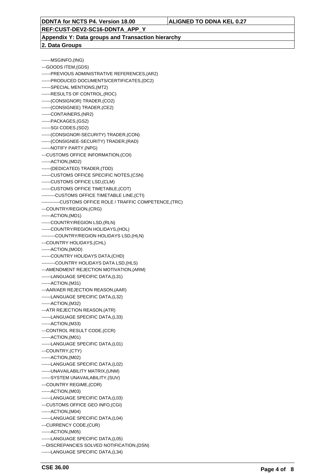**REF:CUST-DEV2-SC16-DDNTA\_APP\_Y**

**Appendix Y: Data groups and Transaction hierarchy 2. Data Groups**

------MSGINFO,(ING) ---GOODS ITEM,(GDS) ------PREVIOUS ADMINISTRATIVE REFERENCES,(AR2) ------PRODUCED DOCUMENTS/CERTIFICATES,(DC2) ------SPECIAL MENTIONS,(MT2) ------RESULTS OF CONTROL,(ROC) ------(CONSIGNOR) TRADER,(CO2) ------(CONSIGNEE) TRADER,(CE2) ------CONTAINERS,(NR2) ------PACKAGES,(GS2) ------SGI CODES,(SD2) ------(CONSIGNOR-SECURITY) TRADER,(CON) ------(CONSIGNEE-SECURITY) TRADER,(RAD) ------NOTIFY PARTY,(NPG) ---CUSTOMS OFFICE INFORMATION,(COI) ------ACTION,(MD2) ------(DEDICATED) TRADER,(TDD) ------CUSTOMS OFFICE SPECIFIC NOTES,(CSN) ------CUSTOMS OFFICE LSD,(CLM) ------CUSTOMS OFFICE TIMETABLE,(COT) ---------CUSTOMS OFFICE TIMETABLE LINE,(CTI) ------------CUSTOMS OFFICE ROLE / TRAFFIC COMPETENCE,(TRC) ---COUNTRY/REGION,(CRG) ------ACTION,(MD1) ------COUNTRY/REGION LSD,(RLN) ------COUNTRY/REGION HOLIDAYS,(HOL) ---------COUNTRY/REGION HOLIDAYS LSD,(HLN) ---COUNTRY HOLIDAYS,(CHL) ------ACTION,(MOD) ------COUNTRY HOLIDAYS DATA,(CHD) ---------COUNTRY HOLIDAYS DATA LSD,(HLS) ---AMENDMENT REJECTION MOTIVATION,(ARM) ------LANGUAGE SPECIFIC DATA,(L31) ------ACTION,(M31) ---AAR/AER REJECTION REASON,(AAR) ------LANGUAGE SPECIFIC DATA,(L32) ------ACTION,(M32) ---ATR REJECTION REASON,(ATR) ------LANGUAGE SPECIFIC DATA,(L33) ------ACTION,(M33) ---CONTROL RESULT CODE,(CCR) ------ACTION,(M01) ------LANGUAGE SPECIFIC DATA,(L01) ---COUNTRY,(CTY) ------ACTION,(M02) ------LANGUAGE SPECIFIC DATA,(L02) ------UNAVAILABILITY MATRIX,(UNM) ------SYSTEM UNAVAILABILITY,(SUV) ---COUNTRY REGIME,(COR) ------ACTION,(M03) ------LANGUAGE SPECIFIC DATA,(L03) ---CUSTOMS OFFICE GEO INFO,(CGI) ------ACTION,(M04) ------LANGUAGE SPECIFIC DATA,(L04) ---CURRENCY CODE,(CUR) ------ACTION,(M05) ------LANGUAGE SPECIFIC DATA,(L05) ---DISCREPANCIES SOLVED NOTIFICATION,(DSN) ------LANGUAGE SPECIFIC DATA,(L34)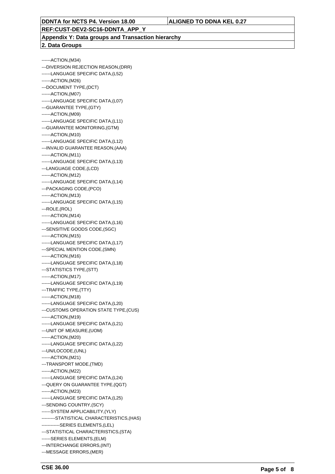**REF:CUST-DEV2-SC16-DDNTA\_APP\_Y**

**Appendix Y: Data groups and Transaction hierarchy 2. Data Groups**

------ACTION,(M34) ---DIVERSION REJECTION REASON,(DRR) ------LANGUAGE SPECIFIC DATA,(L52) ------ACTION,(M26) ---DOCUMENT TYPE,(DCT) ------ACTION,(M07) ------LANGUAGE SPECIFIC DATA,(L07) ---GUARANTEE TYPE,(GTY) ------ACTION,(M09) ------LANGUAGE SPECIFIC DATA,(L11) ---GUARANTEE MONITORING,(GTM) ------ACTION,(M10) ------LANGUAGE SPECIFIC DATA,(L12) ---INVALID GUARANTEE REASON,(AAA) ------ACTION,(M11) ------LANGUAGE SPECIFIC DATA,(L13) ---LANGUAGE CODE,(LCD) ------ACTION,(M12) ------LANGUAGE SPECIFIC DATA,(L14) ---PACKAGING CODE,(PCO) ------ACTION,(M13) ------LANGUAGE SPECIFIC DATA,(L15) ---ROLE,(ROL) ------ACTION,(M14) ------LANGUAGE SPECIFIC DATA,(L16) ---SENSITIVE GOODS CODE,(SGC) ------ACTION,(M15) ------LANGUAGE SPECIFIC DATA,(L17) ---SPECIAL MENTION CODE,(SMN) ------ACTION,(M16) ------LANGUAGE SPECIFIC DATA,(L18) ---STATISTICS TYPE,(STT) ------ACTION,(M17) ------LANGUAGE SPECIFIC DATA,(L19) ---TRAFFIC TYPE,(TTY) ------ACTION,(M18) ------LANGUAGE SPECIFIC DATA,(L20) ---CUSTOMS OPERATION STATE TYPE,(CUS) ------ACTION,(M19) ------LANGUAGE SPECIFIC DATA,(L21) ---UNIT OF MEASURE,(UOM) ------ACTION,(M20) ------LANGUAGE SPECIFIC DATA,(L22) ---UN/LOCODE,(UNL) ------ACTION,(M21) ---TRANSPORT MODE,(TMD) ------ACTION,(M22) ------LANGUAGE SPECIFIC DATA,(L24) ---QUERY ON GUARANTEE TYPE,(QGT) ------ACTION,(M23) ------LANGUAGE SPECIFIC DATA,(L25) ---SENDING COUNTRY, (SCY) ------SYSTEM APPLICABILITY,(YLY) ---------STATISTICAL CHARACTERISTICS,(HAS) ------------SERIES ELEMENTS,(LEL) ---STATISTICAL CHARACTERISTICS,(STA) ------SERIES ELEMENTS,(ELM) ---INTERCHANGE ERRORS,(INT) ---MESSAGE ERRORS,(MER)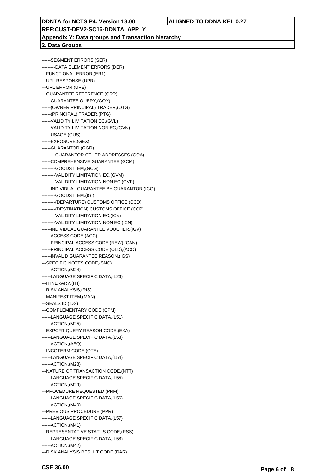**REF:CUST-DEV2-SC16-DDNTA\_APP\_Y**

**Appendix Y: Data groups and Transaction hierarchy**

**2. Data Groups**

------SEGMENT ERRORS,(SER) ---------DATA ELEMENT ERRORS,(DER) ---FUNCTIONAL ERROR,(ER1) ---UPL RESPONSE,(UPR) ---UPL ERROR,(UPE) ---GUARANTEE REFERENCE,(GRR) ------GUARANTEE QUERY,(GQY) ------(OWNER PRINCIPAL) TRADER,(OTG) ------(PRINCIPAL) TRADER,(PTG) ------VALIDITY LIMITATION EC,(GVL) ------VALIDITY LIMITATION NON EC,(GVN) ------USAGE,(GUS) ------EXPOSURE,(GEX) ------GUARANTOR,(GGR) ---------GUARANTOR OTHER ADDRESSES,(GOA) ------COMPREHENSIVE GUARANTEE,(GCM) ---------GOODS ITEM,(GCG) ---------VALIDITY LIMITATION EC,(GVM) ---------VALIDITY LIMITATION NON EC,(GVP) ------INDIVIDUAL GUARANTEE BY GUARANTOR,(IGG) ---------GOODS ITEM,(IGI) ---------(DEPARTURE) CUSTOMS OFFICE,(CCD) ---------(DESTINATION) CUSTOMS OFFICE,(CCP) ---------VALIDITY LIMITATION EC,(ICV) ---------VALIDITY LIMITATION NON EC,(ICN) ------INDIVIDUAL GUARANTEE VOUCHER,(IGV) ------ACCESS CODE,(ACC) ------PRINCIPAL ACCESS CODE (NEW),(CAN) ------PRINCIPAL ACCESS CODE (OLD),(ACO) ------INVALID GUARANTEE REASON,(IGS) ---SPECIFIC NOTES CODE,(SNC) ------ACTION,(M24) ------LANGUAGE SPECIFIC DATA,(L26) ---ITINERARY,(ITI) ---RISK ANALYSIS,(RIS) ---MANIFEST ITEM,(MAN) ---SEALS ID,(IDS) ---COMPLEMENTARY CODE,(CPM) ------LANGUAGE SPECIFIC DATA,(L51) ------ACTION,(M25) ---EXPORT QUERY REASON CODE,(EXA) ------LANGUAGE SPECIFIC DATA,(L53) ------ACTION,(AEQ) ---INCOTERM CODE,(OTE) ------LANGUAGE SPECIFIC DATA,(L54) ------ACTION,(M28) ---NATURE OF TRANSACTION CODE,(NTT) ------LANGUAGE SPECIFIC DATA,(L55) ------ACTION,(M29) ---PROCEDURE REQUESTED,(PRM) ------LANGUAGE SPECIFIC DATA,(L56) ------ACTION,(M40) ---PREVIOUS PROCEDURE,(PPR) ------LANGUAGE SPECIFIC DATA,(L57) ------ACTION,(M41) ---REPRESENTATIVE STATUS CODE,(RSS) ------LANGUAGE SPECIFIC DATA,(L58) ------ACTION,(M42) ---RISK ANALYSIS RESULT CODE,(RAR)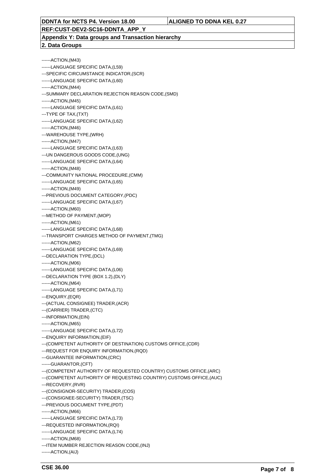**REF:CUST-DEV2-SC16-DDNTA\_APP\_Y**

**Appendix Y: Data groups and Transaction hierarchy 2. Data Groups**

------ACTION,(M43) ------LANGUAGE SPECIFIC DATA,(L59) ---SPECIFIC CIRCUMSTANCE INDICATOR,(SCR) ------LANGUAGE SPECIFIC DATA,(L60) ------ACTION,(M44) ---SUMMARY DECLARATION REJECTION REASON CODE,(SMD) ------ACTION,(M45) ------LANGUAGE SPECIFIC DATA,(L61) ---TYPE OF TAX,(TXT) ------LANGUAGE SPECIFIC DATA,(L62) ------ACTION,(M46) ---WAREHOUSE TYPE,(WRH) ------ACTION,(M47) ------LANGUAGE SPECIFIC DATA,(L63) ---UN DANGEROUS GOODS CODE,(UNG) ------LANGUAGE SPECIFIC DATA,(L64) ------ACTION,(M48) ---COMMUNITY NATIONAL PROCEDURE,(CMM) ------LANGUAGE SPECIFIC DATA,(L65) ------ACTION,(M49) ---PREVIOUS DOCUMENT CATEGORY,(PDC) ------LANGUAGE SPECIFIC DATA,(L67) ------ACTION,(M60) ---METHOD OF PAYMENT,(MOP) ------ACTION,(M61) ------LANGUAGE SPECIFIC DATA,(L68) ---TRANSPORT CHARGES METHOD OF PAYMENT,(TMG) ------ACTION,(M62) ------LANGUAGE SPECIFIC DATA,(L69) ---DECLARATION TYPE,(DCL) ------ACTION,(M06) ------LANGUAGE SPECIFIC DATA,(L06) ---DECLARATION TYPE (BOX 1.2),(DLY) ------ACTION,(M64) ------LANGUAGE SPECIFIC DATA,(L71) ---ENQUIRY,(EQR) ---(ACTUAL CONSIGNEE) TRADER,(ACR) ---(CARRIER) TRADER,(CTC) ---INFORMATION,(EIN) ------ACTION,(M65) ------LANGUAGE SPECIFIC DATA,(L72) ---ENQUIRY INFORMATION,(EIF) ---(COMPETENT AUTHORITY OF DESTINATION) CUSTOMS OFFICE,(CDR) ---REQUEST FOR ENQUIRY INFORMATION,(RQD) ---GUARANTEE INFORMATION,(CRC) ------GUARANTOR,(CFT) ---(COMPETENT AUTHORITY OF REQUESTED COUNTRY) CUSTOMS OFFICE,(ARC) ---(COMPETENT AUTHORITY OF REQUESTING COUNTRY) CUSTOMS OFFICE,(AUC) ---RECOVERY,(RVR) ---(CONSIGNOR-SECURITY) TRADER,(COS) ---(CONSIGNEE-SECURITY) TRADER,(TSC) ---PREVIOUS DOCUMENT TYPE,(PDT) ------ACTION,(M66) ------LANGUAGE SPECIFIC DATA,(L73) ---REQUESTED INFORMATION,(RQI) ------LANGUAGE SPECIFIC DATA,(L74) ------ACTION,(M68) ---ITEM NUMBER REJECTION REASON CODE,(INJ) ------ACTION,(AIJ)